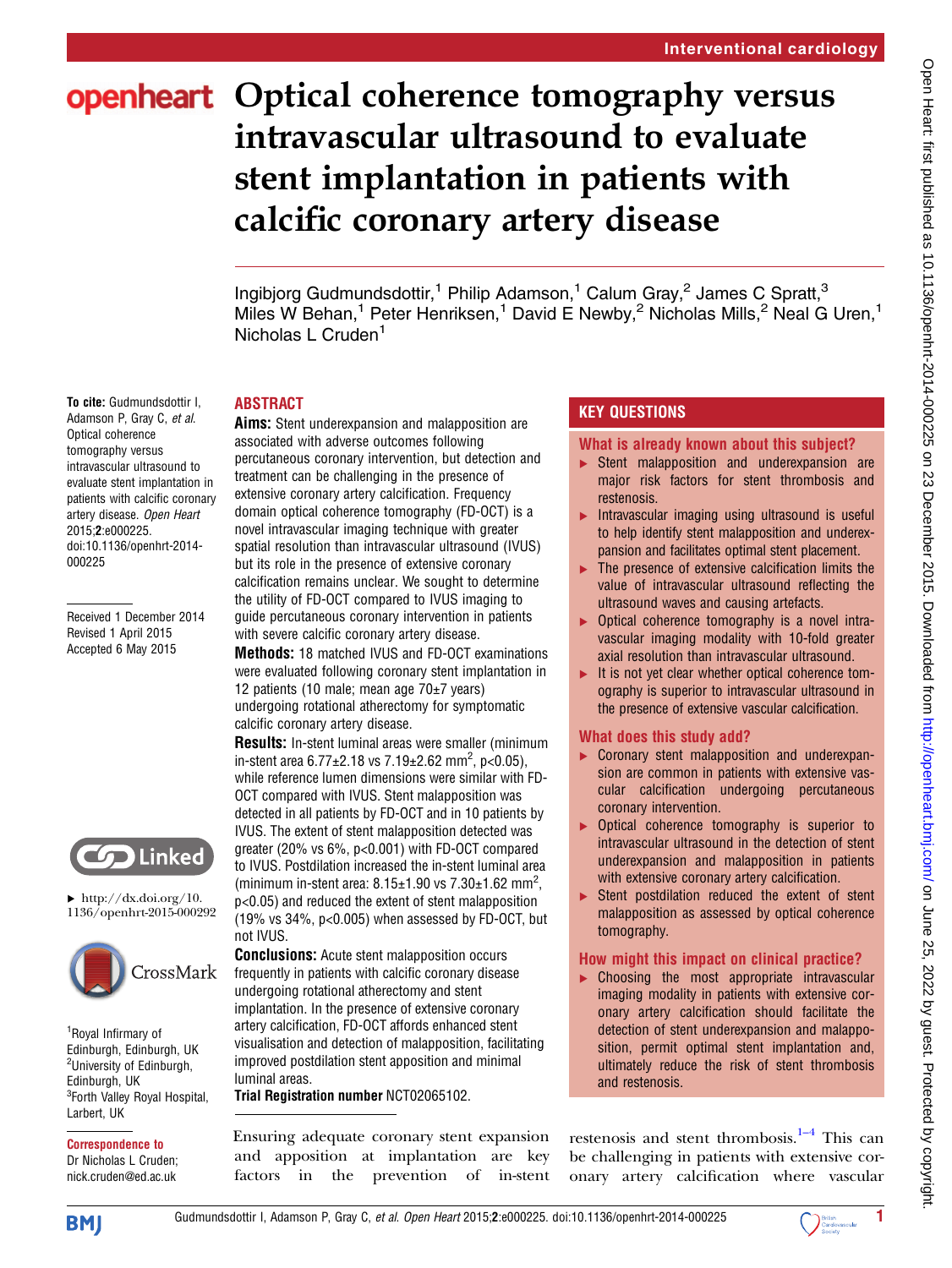# openheart Optical coherence tomography versus intravascular ultrasound to evaluate stent implantation in patients with calcific coronary artery disease

Ingibjorg Gudmundsdottir,<sup>1</sup> Philip Adamson,<sup>1</sup> Calum Gray,<sup>2</sup> James C Spratt,<sup>3</sup> Miles W Behan,<sup>1</sup> Peter Henriksen,<sup>1</sup> David E Newby,<sup>2</sup> Nicholas Mills,<sup>2</sup> Neal G Uren,<sup>1</sup> Nicholas L Cruden<sup>1</sup>

## ABSTRACT

To cite: Gudmundsdottir I, Adamson P, Gray C, et al. Optical coherence tomography versus intravascular ultrasound to evaluate stent implantation in patients with calcific coronary artery disease. Open Heart 2015;2:e000225. doi:10.1136/openhrt-2014- 000225

Received 1 December 2014 Revised 1 April 2015 Accepted 6 May 2015



 $\blacktriangleright$  [http://dx.doi.org/10.](http://dx.doi.org/10.1136/openhrt-2015-000292) [1136/openhrt-2015-000292](http://dx.doi.org/10.1136/openhrt-2015-000292)



1 Royal Infirmary of Edinburgh, Edinburgh, UK <sup>2</sup>University of Edinburgh, Edinburgh, UK <sup>3</sup>Forth Valley Royal Hospital, Larbert, UK

Correspondence to Dr Nicholas L Cruden; nick.cruden@ed.ac.uk

Aims: Stent underexpansion and malapposition are associated with adverse outcomes following percutaneous coronary intervention, but detection and treatment can be challenging in the presence of extensive coronary artery calcification. Frequency domain optical coherence tomography (FD-OCT) is a novel intravascular imaging technique with greater spatial resolution than intravascular ultrasound (IVUS) but its role in the presence of extensive coronary calcification remains unclear. We sought to determine the utility of FD-OCT compared to IVUS imaging to guide percutaneous coronary intervention in patients with severe calcific coronary artery disease.

Methods: 18 matched IVUS and FD-OCT examinations were evaluated following coronary stent implantation in 12 patients (10 male; mean age 70±7 years) undergoing rotational atherectomy for symptomatic calcific coronary artery disease.

Results: In-stent luminal areas were smaller (minimum in-stent area  $6.77 \pm 2.18$  vs  $7.19 \pm 2.62$  mm<sup>2</sup>, p<0.05), while reference lumen dimensions were similar with FD-OCT compared with IVUS. Stent malapposition was detected in all patients by FD-OCT and in 10 patients by IVUS. The extent of stent malapposition detected was greater (20% vs 6%, p<0.001) with FD-OCT compared to IVUS. Postdilation increased the in-stent luminal area (minimum in-stent area:  $8.15 \pm 1.90$  vs  $7.30 \pm 1.62$  mm<sup>2</sup>, p<0.05) and reduced the extent of stent malapposition (19% vs 34%, p<0.005) when assessed by FD-OCT, but not IVUS.

**Conclusions:** Acute stent malapposition occurs frequently in patients with calcific coronary disease undergoing rotational atherectomy and stent implantation. In the presence of extensive coronary artery calcification, FD-OCT affords enhanced stent visualisation and detection of malapposition, facilitating improved postdilation stent apposition and minimal luminal areas.

Trial Registration number NCT02065102.

Ensuring adequate coronary stent expansion and apposition at implantation are key factors in the prevention of in-stent

# KEY QUESTIONS

What is already known about this subject?

- ▸ Stent malapposition and underexpansion are major risk factors for stent thrombosis and restenosis.
- $\blacktriangleright$  Intravascular imaging using ultrasound is useful to help identify stent malapposition and underexpansion and facilitates optimal stent placement.
- ▶ The presence of extensive calcification limits the value of intravascular ultrasound reflecting the ultrasound waves and causing artefacts.
- ▶ Optical coherence tomography is a novel intravascular imaging modality with 10-fold greater axial resolution than intravascular ultrasound.
- ▸ It is not yet clear whether optical coherence tomography is superior to intravascular ultrasound in the presence of extensive vascular calcification.

# What does this study add?

- ▸ Coronary stent malapposition and underexpansion are common in patients with extensive vascular calcification undergoing percutaneous coronary intervention.
- ▸ Optical coherence tomography is superior to intravascular ultrasound in the detection of stent underexpansion and malapposition in patients with extensive coronary artery calcification.
- ▶ Stent postdilation reduced the extent of stent malapposition as assessed by optical coherence tomography.

# How might this impact on clinical practice?

▸ Choosing the most appropriate intravascular imaging modality in patients with extensive coronary artery calcification should facilitate the detection of stent underexpansion and malapposition, permit optimal stent implantation and, ultimately reduce the risk of stent thrombosis and restenosis.

restenosis and stent thrombosis. $1-4$  This can be challenging in patients with extensive coronary artery calcification where vascular



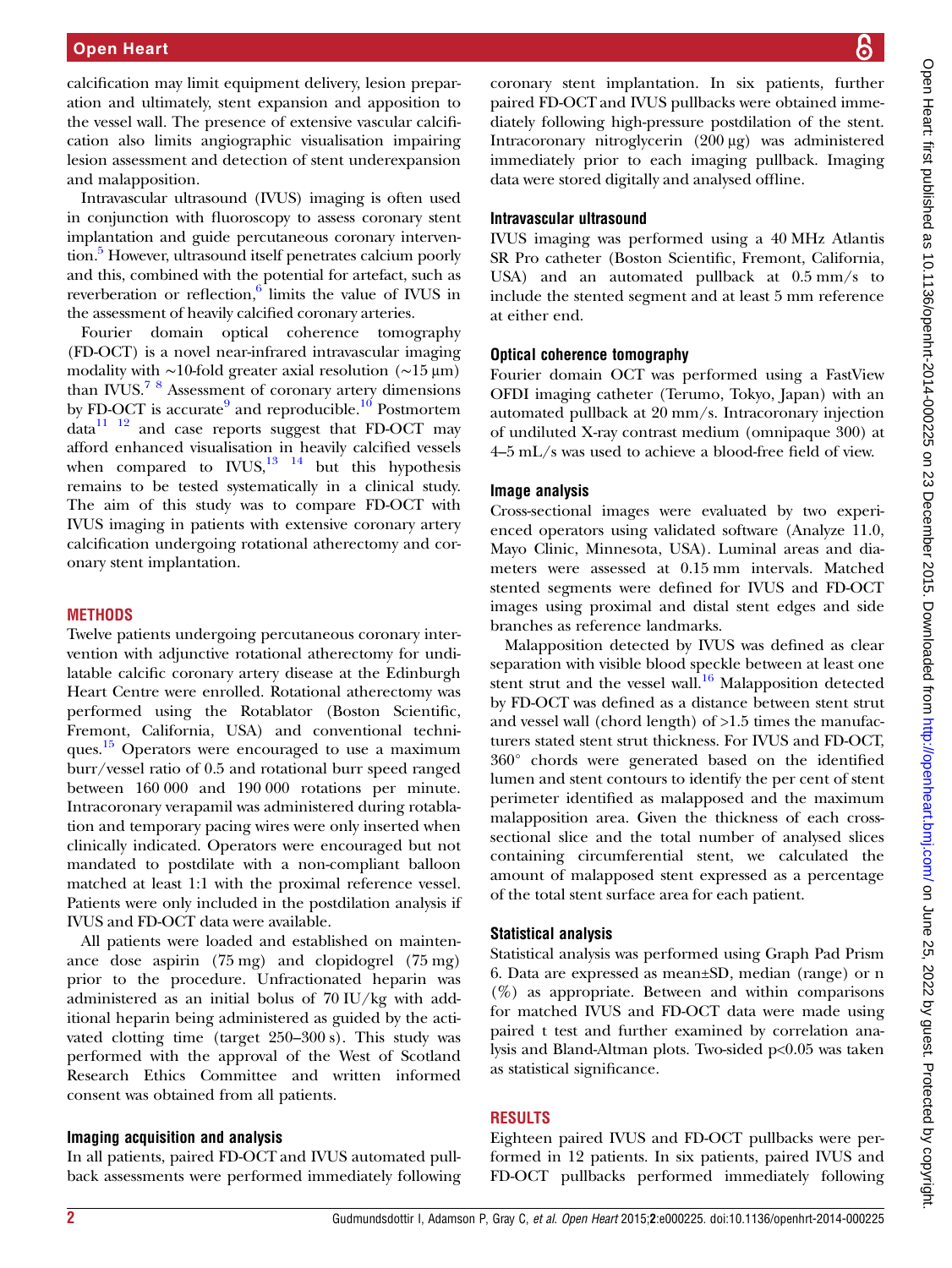calcification may limit equipment delivery, lesion preparation and ultimately, stent expansion and apposition to the vessel wall. The presence of extensive vascular calcification also limits angiographic visualisation impairing lesion assessment and detection of stent underexpansion and malapposition.

Intravascular ultrasound (IVUS) imaging is often used in conjunction with fluoroscopy to assess coronary stent implantation and guide percutaneous coronary intervention.<sup>5</sup> However, ultrasound itself penetrates calcium poorly and this, combined with the potential for artefact, such as reverberation or reflection, $6$  limits the value of IVUS in the assessment of heavily calcified coronary arteries.

Fourier domain optical coherence tomography (FD-OCT) is a novel near-infrared intravascular imaging modality with ∼10-fold greater axial resolution (∼15 μm) than IVUS.[7 8](#page-5-0) Assessment of coronary artery dimensions by FD-OCT is accurate<sup>[9](#page-5-0)</sup> and reproducible.<sup>[10](#page-5-0)</sup> Postmortem  $data<sup>11</sup>$  <sup>12</sup> and case reports suggest that FD-OCT may afford enhanced visualisation in heavily calcified vessels when compared to  $\text{IVUS},^{13}$  <sup>14</sup> but this hypothesis remains to be tested systematically in a clinical study. The aim of this study was to compare FD-OCT with IVUS imaging in patients with extensive coronary artery calcification undergoing rotational atherectomy and coronary stent implantation.

## **METHODS**

Twelve patients undergoing percutaneous coronary intervention with adjunctive rotational atherectomy for undilatable calcific coronary artery disease at the Edinburgh Heart Centre were enrolled. Rotational atherectomy was performed using the Rotablator (Boston Scientific, Fremont, California, USA) and conventional techniques. $\frac{15}{15}$  Operators were encouraged to use a maximum burr/vessel ratio of 0.5 and rotational burr speed ranged between 160 000 and 190 000 rotations per minute. Intracoronary verapamil was administered during rotablation and temporary pacing wires were only inserted when clinically indicated. Operators were encouraged but not mandated to postdilate with a non-compliant balloon matched at least 1:1 with the proximal reference vessel. Patients were only included in the postdilation analysis if IVUS and FD-OCT data were available.

All patients were loaded and established on maintenance dose aspirin (75 mg) and clopidogrel (75 mg) prior to the procedure. Unfractionated heparin was administered as an initial bolus of 70 IU/kg with additional heparin being administered as guided by the activated clotting time (target 250–300 s). This study was performed with the approval of the West of Scotland Research Ethics Committee and written informed consent was obtained from all patients.

#### Imaging acquisition and analysis

In all patients, paired FD-OCT and IVUS automated pullback assessments were performed immediately following

coronary stent implantation. In six patients, further paired FD-OCT and IVUS pullbacks were obtained immediately following high-pressure postdilation of the stent. Intracoronary nitroglycerin (200 μg) was administered immediately prior to each imaging pullback. Imaging data were stored digitally and analysed offline.

#### Intravascular ultrasound

IVUS imaging was performed using a 40 MHz Atlantis SR Pro catheter (Boston Scientific, Fremont, California, USA) and an automated pullback at 0.5 mm/s to include the stented segment and at least 5 mm reference at either end.

#### Optical coherence tomography

Fourier domain OCT was performed using a FastView OFDI imaging catheter (Terumo, Tokyo, Japan) with an automated pullback at 20 mm/s. Intracoronary injection of undiluted X-ray contrast medium (omnipaque 300) at 4–5 mL/s was used to achieve a blood-free field of view.

#### Image analysis

Cross-sectional images were evaluated by two experienced operators using validated software (Analyze 11.0, Mayo Clinic, Minnesota, USA). Luminal areas and diameters were assessed at 0.15 mm intervals. Matched stented segments were defined for IVUS and FD-OCT images using proximal and distal stent edges and side branches as reference landmarks.

Malapposition detected by IVUS was defined as clear separation with visible blood speckle between at least one stent strut and the vessel wall.<sup>[16](#page-5-0)</sup> Malapposition detected by FD-OCT was defined as a distance between stent strut and vessel wall (chord length) of >1.5 times the manufacturers stated stent strut thickness. For IVUS and FD-OCT, 360° chords were generated based on the identified lumen and stent contours to identify the per cent of stent perimeter identified as malapposed and the maximum malapposition area. Given the thickness of each crosssectional slice and the total number of analysed slices containing circumferential stent, we calculated the amount of malapposed stent expressed as a percentage of the total stent surface area for each patient.

## Statistical analysis

Statistical analysis was performed using Graph Pad Prism 6. Data are expressed as mean±SD, median (range) or n  $(\%)$  as appropriate. Between and within comparisons for matched IVUS and FD-OCT data were made using paired t test and further examined by correlation analysis and Bland-Altman plots. Two-sided p<0.05 was taken as statistical significance.

## RESULTS

Eighteen paired IVUS and FD-OCT pullbacks were performed in 12 patients. In six patients, paired IVUS and FD-OCT pullbacks performed immediately following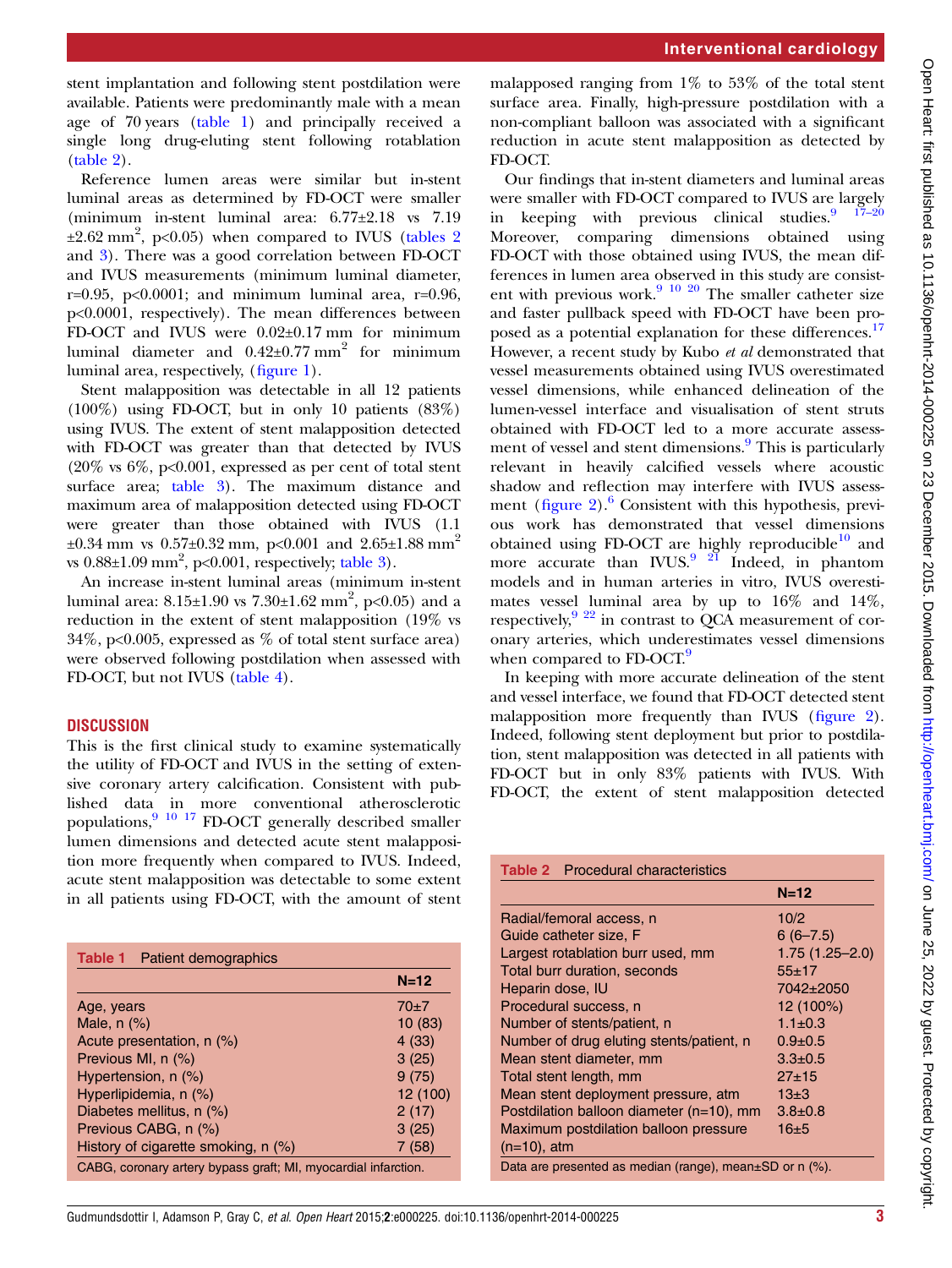stent implantation and following stent postdilation were available. Patients were predominantly male with a mean age of 70 years (table 1) and principally received a single long drug-eluting stent following rotablation (table 2).

Reference lumen areas were similar but in-stent luminal areas as determined by FD-OCT were smaller (minimum in-stent luminal area: 6.77±2.18 vs 7.19  $\pm 2.62$  mm<sup>2</sup>, p<0.05) when compared to IVUS (tables 2 and [3](#page-3-0)). There was a good correlation between FD-OCT and IVUS measurements (minimum luminal diameter, r=0.95, p<0.0001; and minimum luminal area, r=0.96, p<0.0001, respectively). The mean differences between FD-OCT and IVUS were 0.02±0.17 mm for minimum luminal diameter and  $0.42\pm0.77$  mm<sup>2</sup> for minimum luminal area, respectively, (fi[gure 1](#page-3-0)).

Stent malapposition was detectable in all 12 patients (100%) using FD-OCT, but in only 10 patients (83%) using IVUS. The extent of stent malapposition detected with FD-OCT was greater than that detected by IVUS  $(20\% \text{ vs } 6\%, \text{ p<0.001},$  expressed as per cent of total stent surface area; [table 3](#page-3-0)). The maximum distance and maximum area of malapposition detected using FD-OCT were greater than those obtained with IVUS (1.1  $\pm 0.34$  mm vs  $0.57\pm 0.32$  mm, p<0.001 and 2.65 $\pm 1.88$  mm<sup>2</sup> vs  $0.88\pm1.09$  mm<sup>2</sup>, p< $0.001$ , respectively; [table 3](#page-3-0)).

An increase in-stent luminal areas (minimum in-stent luminal area:  $8.15{\pm}1.90$  vs  $7.30{\pm}1.62$  mm $^2$ , p<0.05) and a reduction in the extent of stent malapposition (19% vs 34%, p<0.005, expressed as % of total stent surface area) were observed following postdilation when assessed with FD-OCT, but not IVUS ([table 4\)](#page-4-0).

## **DISCUSSION**

This is the first clinical study to examine systematically the utility of FD-OCT and IVUS in the setting of extensive coronary artery calcification. Consistent with published data in more conventional atherosclerotic populations, $9\frac{10 \times 17}{17}$  FD-OCT generally described smaller lumen dimensions and detected acute stent malapposition more frequently when compared to IVUS. Indeed, acute stent malapposition was detectable to some extent in all patients using FD-OCT, with the amount of stent

| <b>Table 1</b> Patient demographics                            |          |
|----------------------------------------------------------------|----------|
|                                                                | $N=12$   |
| Age, years                                                     | $70+7$   |
| Male, $n$ $(\%)$                                               | 10(83)   |
| Acute presentation, $n$ $(\%)$                                 | 4(33)    |
| Previous MI, n (%)                                             | 3(25)    |
| Hypertension, n (%)                                            | 9(75)    |
| Hyperlipidemia, n (%)                                          | 12 (100) |
| Diabetes mellitus, n (%)                                       | 2(17)    |
| Previous CABG, n (%)                                           | 3(25)    |
| History of cigarette smoking, n (%)                            | 7(58)    |
| CABG, coronary artery bypass graft; MI, myocardial infarction. |          |

malapposed ranging from  $1\%$  to 53% of the total stent surface area. Finally, high-pressure postdilation with a non-compliant balloon was associated with a significant reduction in acute stent malapposition as detected by FD-OCT.

Our findings that in-stent diameters and luminal areas were smaller with FD-OCT compared to IVUS are largely in keeping with previous clinical studies.  $17-20$ Moreover, comparing dimensions obtained using FD-OCT with those obtained using IVUS, the mean differences in lumen area observed in this study are consist-ent with previous work.<sup>[9 10](#page-5-0) [20](#page-6-0)</sup> The smaller catheter size and faster pullback speed with FD-OCT have been pro-posed as a potential explanation for these differences.<sup>[17](#page-5-0)</sup> However, a recent study by Kubo et al demonstrated that vessel measurements obtained using IVUS overestimated vessel dimensions, while enhanced delineation of the lumen-vessel interface and visualisation of stent struts obtained with FD-OCT led to a more accurate assess-ment of vessel and stent dimensions.<sup>[9](#page-5-0)</sup> This is particularly relevant in heavily calcified vessels where acoustic shadow and reflection may interfere with IVUS assessment (figure  $2$ ).<sup>[6](#page-5-0)</sup> Consistent with this hypothesis, previous work has demonstrated that vessel dimensions obtained using FD-OCT are highly reproducible $10$  and more accurate than IVUS. $9^{9}$  $9^{9}$  [21](#page-6-0) Indeed, in phantom models and in human arteries in vitro, IVUS overestimates vessel luminal area by up to 16% and 14%, respectively, $9^{9}$  $9^{9}$  [22](#page-6-0) in contrast to QCA measurement of coronary arteries, which underestimates vessel dimensions when compared to FD-OCT.<sup>9</sup>

In keeping with more accurate delineation of the stent and vessel interface, we found that FD-OCT detected stent malapposition more frequently than IVUS (fi[gure 2\)](#page-4-0). Indeed, following stent deployment but prior to postdilation, stent malapposition was detected in all patients with FD-OCT but in only 83% patients with IVUS. With FD-OCT, the extent of stent malapposition detected

Table 2 Procedural characteristics

|                                                               | $N=12$             |
|---------------------------------------------------------------|--------------------|
| Radial/femoral access, n                                      | 10/2               |
| Guide catheter size, F                                        | $6(6 - 7.5)$       |
| Largest rotablation burr used, mm                             | $1.75(1.25 - 2.0)$ |
| Total burr duration, seconds                                  | $55 + 17$          |
| Heparin dose, IU                                              | 7042±2050          |
| Procedural success, n                                         | 12 (100%)          |
| Number of stents/patient, n                                   | $1.1 \pm 0.3$      |
| Number of drug eluting stents/patient, n                      | $0.9 \pm 0.5$      |
| Mean stent diameter, mm                                       | $3.3 \pm 0.5$      |
| Total stent length, mm                                        | $27 + 15$          |
| Mean stent deployment pressure, atm                           | $13+3$             |
| Postdilation balloon diameter (n=10), mm                      | $3.8 + 0.8$        |
| Maximum postdilation balloon pressure                         | 16±5               |
| $(n=10)$ , atm                                                |                    |
| Data are presented as median (range), mean $\pm$ SD or n (%). |                    |

Open Heart: first published as 10.1136/openhr-2014-000225 on 23 December 2015. Downloaded from http://openheart.bmj.com/ on June 25, 2022 by guest. Protected by copyright Open Heart: first published as 10.1136/openhrt-2014-000225 on 23 December 2015. Downloaded from <http://openheart.bmj.com/> on June 25, 2022 by guest. Protected by copyright.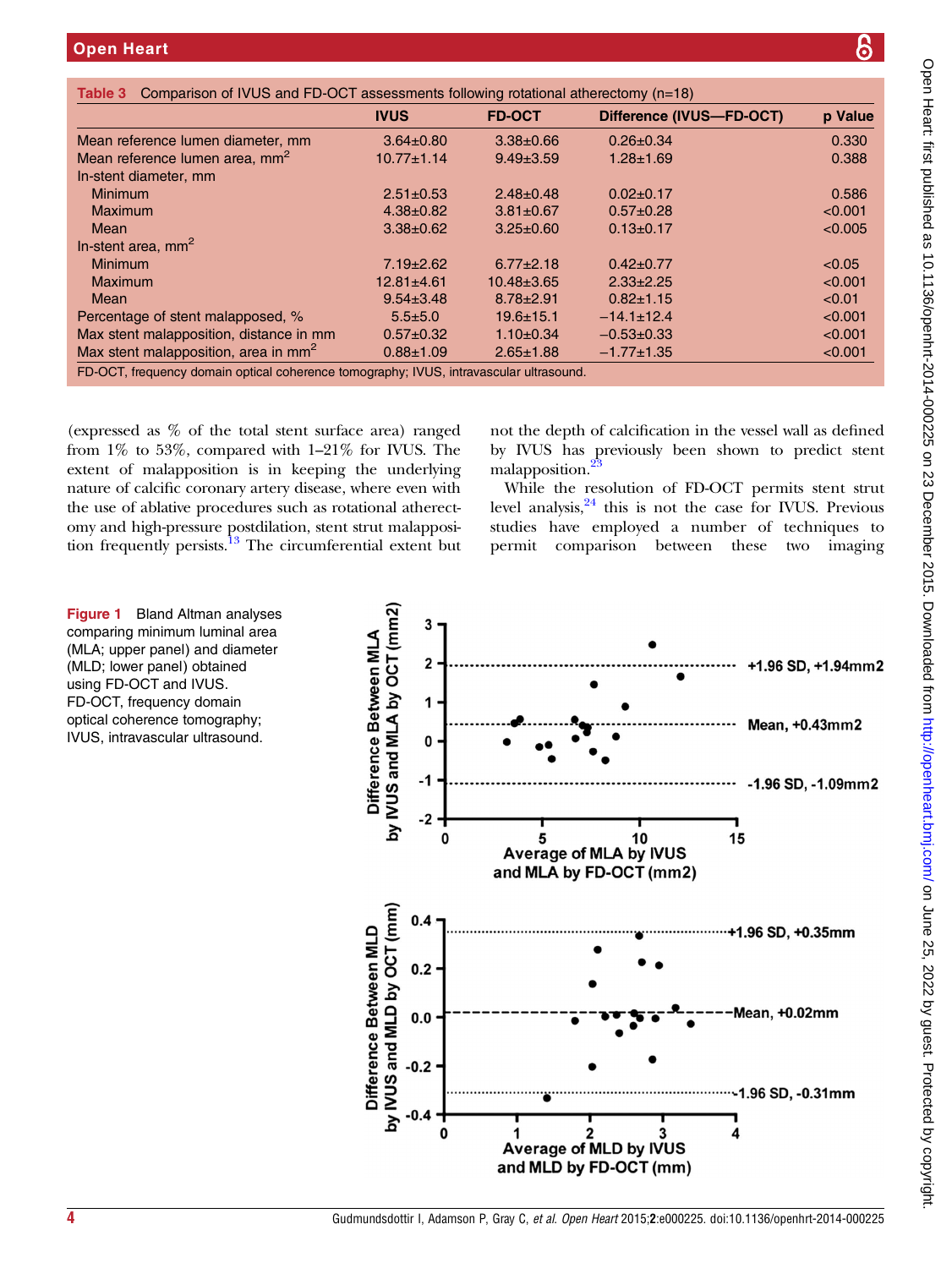<span id="page-3-0"></span>

|                                                  | <b>IVUS</b>      | <b>FD-OCT</b>    | Difference (IVUS-FD-OCT) | p Value |
|--------------------------------------------------|------------------|------------------|--------------------------|---------|
| Mean reference lumen diameter, mm                | $3.64 \pm 0.80$  | $3.38 \pm 0.66$  | $0.26 \pm 0.34$          | 0.330   |
| Mean reference lumen area, mm <sup>2</sup>       | $10.77 \pm 1.14$ | $9.49 \pm 3.59$  | $1.28 \pm 1.69$          | 0.388   |
| In-stent diameter, mm                            |                  |                  |                          |         |
| <b>Minimum</b>                                   | $2.51 \pm 0.53$  | $2.48 \pm 0.48$  | $0.02 \pm 0.17$          | 0.586   |
| <b>Maximum</b>                                   | $4.38 \pm 0.82$  | $3.81 \pm 0.67$  | $0.57 + 0.28$            | < 0.001 |
| <b>Mean</b>                                      | $3.38 \pm 0.62$  | $3.25 \pm 0.60$  | $0.13 \pm 0.17$          | < 0.005 |
| In-stent area, $mm2$                             |                  |                  |                          |         |
| <b>Minimum</b>                                   | $7.19 \pm 2.62$  | $6.77 \pm 2.18$  | $0.42 \pm 0.77$          | < 0.05  |
| <b>Maximum</b>                                   | $12.81 \pm 4.61$ | $10.48 \pm 3.65$ | $2.33 \pm 2.25$          | < 0.001 |
| Mean                                             | $9.54 \pm 3.48$  | $8.78 \pm 2.91$  | $0.82 \pm 1.15$          | < 0.01  |
| Percentage of stent malapposed, %                | $5.5 \pm 5.0$    | $19.6 \pm 15.1$  | $-14.1 \pm 12.4$         | < 0.001 |
| Max stent malapposition, distance in mm          | $0.57+0.32$      | $1.10 \pm 0.34$  | $-0.53+0.33$             | < 0.001 |
| Max stent malapposition, area in mm <sup>2</sup> | $0.88 \pm 1.09$  | $2.65 \pm 1.88$  | $-1.77 \pm 1.35$         | < 0.001 |

(expressed as % of the total stent surface area) ranged from 1% to 53%, compared with 1–21% for IVUS. The extent of malapposition is in keeping the underlying nature of calcific coronary artery disease, where even with the use of ablative procedures such as rotational atherectomy and high-pressure postdilation, stent strut malapposition frequently persists.<sup>13</sup> The circumferential extent but

not the depth of calcification in the vessel wall as defined by IVUS has previously been shown to predict stent malapposition.

While the resolution of FD-OCT permits stent strut level analysis, $24$  this is not the case for IVUS. Previous studies have employed a number of techniques to permit comparison between these two imaging



Figure 1 Bland Altman analyses comparing minimum luminal area (MLA; upper panel) and diameter (MLD; lower panel) obtained using FD-OCT and IVUS. FD-OCT, frequency domain optical coherence tomography; IVUS, intravascular ultrasound.

၆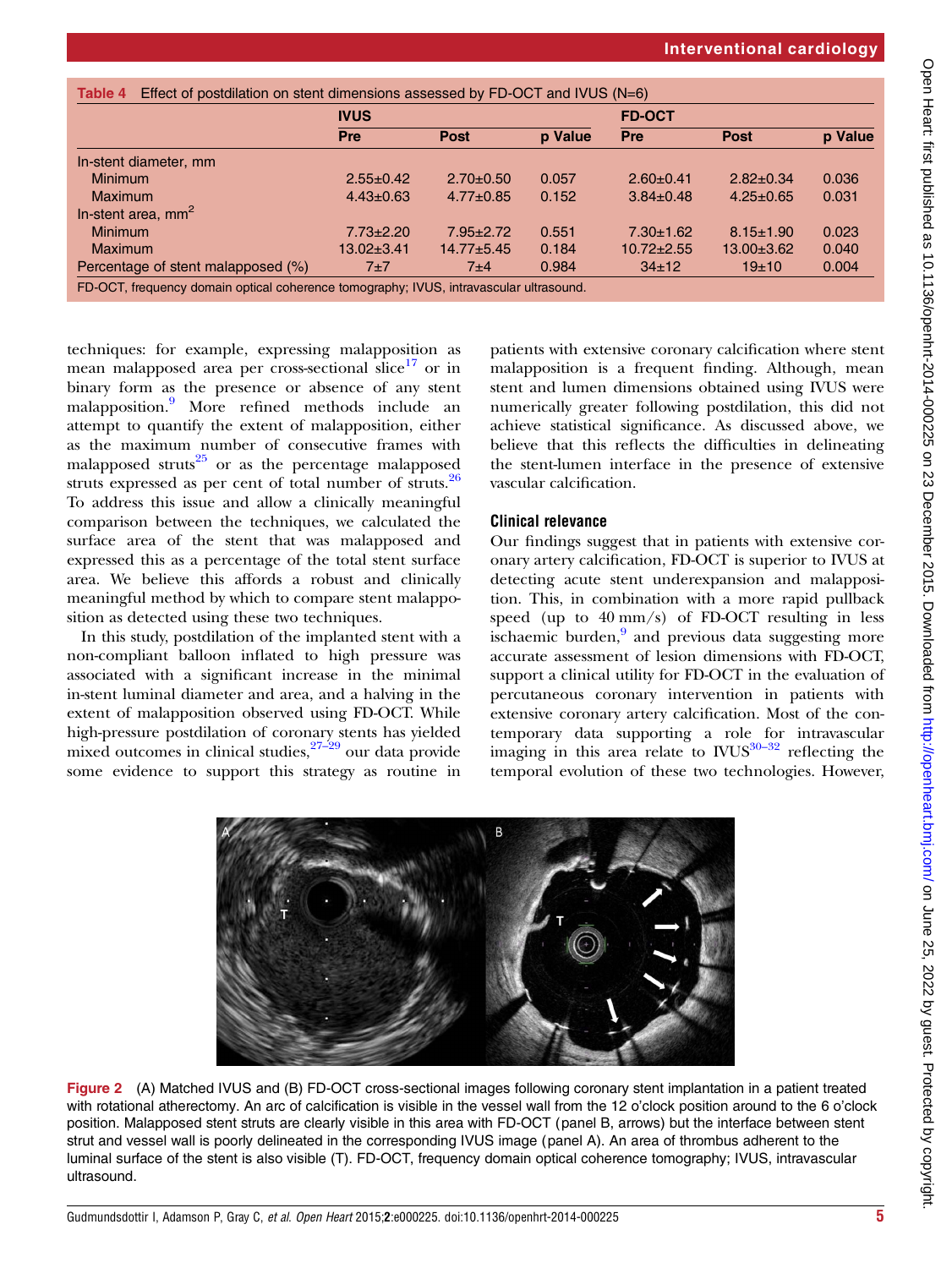<span id="page-4-0"></span>

|                                    | <b>IVUS</b>      |                 |         | <b>FD-OCT</b>    |                  |         |
|------------------------------------|------------------|-----------------|---------|------------------|------------------|---------|
|                                    | Pre              | Post            | p Value | Pre              | <b>Post</b>      | p Value |
| In-stent diameter, mm              |                  |                 |         |                  |                  |         |
| <b>Minimum</b>                     | $2.55 \pm 0.42$  | $2.70+0.50$     | 0.057   | $2.60 \pm 0.41$  | $2.82 \pm 0.34$  | 0.036   |
| <b>Maximum</b>                     | $4.43 \pm 0.63$  | $4.77 \pm 0.85$ | 0.152   | $3.84 \pm 0.48$  | $4.25 \pm 0.65$  | 0.031   |
| In-stent area, $mm2$               |                  |                 |         |                  |                  |         |
| <b>Minimum</b>                     | $7.73 \pm 2.20$  | $7.95 \pm 2.72$ | 0.551   | $7.30 \pm 1.62$  | $8.15 \pm 1.90$  | 0.023   |
| <b>Maximum</b>                     | $13.02 \pm 3.41$ | $14.77 + 5.45$  | 0.184   | $10.72 \pm 2.55$ | $13.00 \pm 3.62$ | 0.040   |
| Percentage of stent malapposed (%) | $7\pm7$          | 7±4             | 0.984   | $34 \pm 12$      | 19±10            | 0.004   |

techniques: for example, expressing malapposition as mean malapposed area per cross-sectional slice $17$  or in binary form as the presence or absence of any stent malapposition.[9](#page-5-0) More refined methods include an attempt to quantify the extent of malapposition, either as the maximum number of consecutive frames with malapposed struts $25$  or as the percentage malapposed struts expressed as per cent of total number of struts.<sup>[26](#page-6-0)</sup> To address this issue and allow a clinically meaningful comparison between the techniques, we calculated the surface area of the stent that was malapposed and expressed this as a percentage of the total stent surface area. We believe this affords a robust and clinically meaningful method by which to compare stent malapposition as detected using these two techniques.

In this study, postdilation of the implanted stent with a non-compliant balloon inflated to high pressure was associated with a significant increase in the minimal in-stent luminal diameter and area, and a halving in the extent of malapposition observed using FD-OCT. While high-pressure postdilation of coronary stents has yielded mixed outcomes in clinical studies,  $27-\frac{29}{2}$  $27-\frac{29}{2}$  our data provide some evidence to support this strategy as routine in

patients with extensive coronary calcification where stent malapposition is a frequent finding. Although, mean stent and lumen dimensions obtained using IVUS were numerically greater following postdilation, this did not achieve statistical significance. As discussed above, we believe that this reflects the difficulties in delineating the stent-lumen interface in the presence of extensive vascular calcification.

# Clinical relevance

Our findings suggest that in patients with extensive coronary artery calcification, FD-OCT is superior to IVUS at detecting acute stent underexpansion and malapposition. This, in combination with a more rapid pullback speed (up to 40 mm/s) of FD-OCT resulting in less ischaemic burden, $9$  and previous data suggesting more accurate assessment of lesion dimensions with FD-OCT, support a clinical utility for FD-OCT in the evaluation of percutaneous coronary intervention in patients with extensive coronary artery calcification. Most of the contemporary data supporting a rol[e for](#page-6-0) intravascular imaging in this area relate to  $\frac{1}{10}$  reflecting the temporal evolution of these two technologies. However,



Figure 2 (A) Matched IVUS and (B) FD-OCT cross-sectional images following coronary stent implantation in a patient treated with rotational atherectomy. An arc of calcification is visible in the vessel wall from the 12 o'clock position around to the 6 o'clock position. Malapposed stent struts are clearly visible in this area with FD-OCT (panel B, arrows) but the interface between stent strut and vessel wall is poorly delineated in the corresponding IVUS image (panel A). An area of thrombus adherent to the luminal surface of the stent is also visible (T). FD-OCT, frequency domain optical coherence tomography; IVUS, intravascular ultrasound.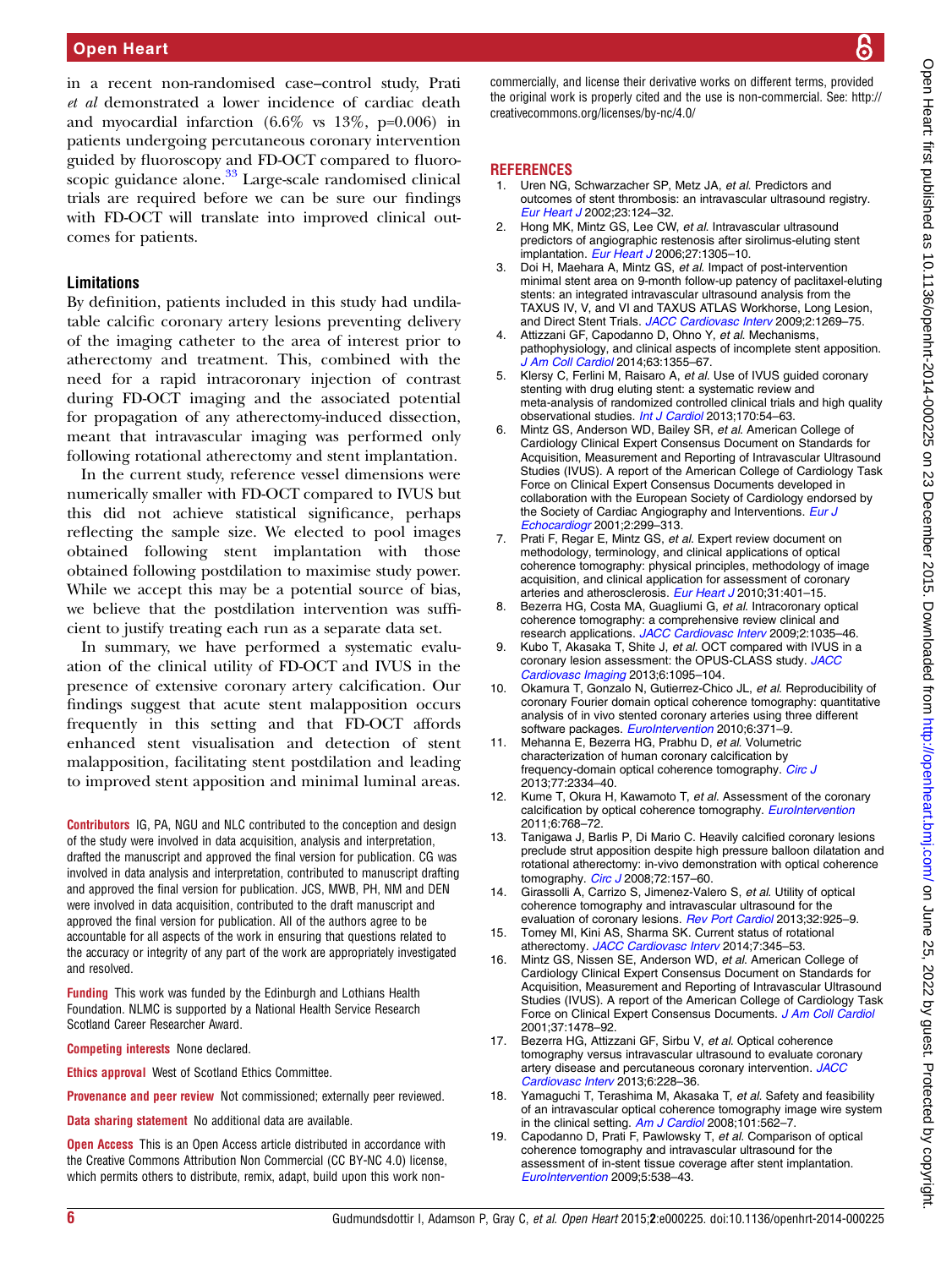<span id="page-5-0"></span>in a recent non-randomised case–control study, Prati et al demonstrated a lower incidence of cardiac death and myocardial infarction  $(6.6\% \text{ vs } 13\%, \text{ p} = 0.006)$  in patients undergoing percutaneous coronary intervention guided by fluoroscopy and FD-OCT compared to fluoro-scopic guidance alone.<sup>[33](#page-6-0)</sup> Large-scale randomised clinical trials are required before we can be sure our findings with FD-OCT will translate into improved clinical outcomes for patients.

## Limitations

By definition, patients included in this study had undilatable calcific coronary artery lesions preventing delivery of the imaging catheter to the area of interest prior to atherectomy and treatment. This, combined with the need for a rapid intracoronary injection of contrast during FD-OCT imaging and the associated potential for propagation of any atherectomy-induced dissection, meant that intravascular imaging was performed only following rotational atherectomy and stent implantation.

In the current study, reference vessel dimensions were numerically smaller with FD-OCT compared to IVUS but this did not achieve statistical significance, perhaps reflecting the sample size. We elected to pool images obtained following stent implantation with those obtained following postdilation to maximise study power. While we accept this may be a potential source of bias, we believe that the postdilation intervention was sufficient to justify treating each run as a separate data set.

In summary, we have performed a systematic evaluation of the clinical utility of FD-OCT and IVUS in the presence of extensive coronary artery calcification. Our findings suggest that acute stent malapposition occurs frequently in this setting and that FD-OCT affords enhanced stent visualisation and detection of stent malapposition, facilitating stent postdilation and leading to improved stent apposition and minimal luminal areas.

Contributors IG, PA, NGU and NLC contributed to the conception and design of the study were involved in data acquisition, analysis and interpretation, drafted the manuscript and approved the final version for publication. CG was involved in data analysis and interpretation, contributed to manuscript drafting and approved the final version for publication. JCS, MWB, PH, NM and DEN were involved in data acquisition, contributed to the draft manuscript and approved the final version for publication. All of the authors agree to be accountable for all aspects of the work in ensuring that questions related to the accuracy or integrity of any part of the work are appropriately investigated and resolved.

Funding This work was funded by the Edinburgh and Lothians Health Foundation. NLMC is supported by a National Health Service Research Scotland Career Researcher Award.

Competing interests None declared.

Ethics approval West of Scotland Ethics Committee.

Provenance and peer review Not commissioned; externally peer reviewed.

Data sharing statement No additional data are available.

**Open Access** This is an Open Access article distributed in accordance with the Creative Commons Attribution Non Commercial (CC BY-NC 4.0) license, which permits others to distribute, remix, adapt, build upon this work noncommercially, and license their derivative works on different terms, provided the original work is properly cited and the use is non-commercial. See: [http://](http://creativecommons.org/licenses/by-nc/4.0/) [creativecommons.org/licenses/by-nc/4.0/](http://creativecommons.org/licenses/by-nc/4.0/)

#### **REFERENCES**

- 1. Uren NG, Schwarzacher SP, Metz JA, et al. Predictors and outcomes of stent thrombosis: an intravascular ultrasound registry. [Eur Heart J](http://dx.doi.org/10.1053/euhj.2001.2707) 2002;23:124–32.
- 2. Hong MK, Mintz GS, Lee CW, et al. Intravascular ultrasound predictors of angiographic restenosis after sirolimus-eluting stent implantation. [Eur Heart J](http://dx.doi.org/10.1093/eurheartj/ehi882) 2006;27:1305-10.
- 3. Doi H, Maehara A, Mintz GS, et al. Impact of post-intervention minimal stent area on 9-month follow-up patency of paclitaxel-eluting stents: an integrated intravascular ultrasound analysis from the TAXUS IV, V, and VI and TAXUS ATLAS Workhorse, Long Lesion, and Direct Stent Trials. [JACC Cardiovasc Interv](http://dx.doi.org/10.1016/j.jcin.2009.10.005) 2009;2:1269-75.
- 4. Attizzani GF, Capodanno D, Ohno Y, et al. Mechanisms, pathophysiology, and clinical aspects of incomplete stent apposition. [J Am Coll Cardiol](http://dx.doi.org/10.1016/j.jacc.2014.01.019) 2014;63:1355-67.
- 5. Klersy C, Ferlini M, Raisaro A, et al. Use of IVUS guided coronary stenting with drug eluting stent: a systematic review and meta-analysis of randomized controlled clinical trials and high quality observational studies. [Int J Cardiol](http://dx.doi.org/10.1016/j.ijcard.2013.10.002) 2013;170:54-63.
- Mintz GS, Anderson WD, Bailey SR, et al. American College of Cardiology Clinical Expert Consensus Document on Standards for Acquisition, Measurement and Reporting of Intravascular Ultrasound Studies (IVUS). A report of the American College of Cardiology Task Force on Clinical Expert Consensus Documents developed in collaboration with the European Society of Cardiology endorsed by the Society of Cardiac Angiography and Interventions. [Eur J](http://dx.doi.org/10.1053/euje.2001.0133) [Echocardiogr](http://dx.doi.org/10.1053/euje.2001.0133) 2001;2:299–313.
- 7. Prati F, Regar E, Mintz GS, et al. Expert review document on methodology, terminology, and clinical applications of optical coherence tomography: physical principles, methodology of image acquisition, and clinical application for assessment of coronary arteries and atherosclerosis. [Eur Heart J](http://dx.doi.org/10.1093/eurheartj/ehp433) 2010;31:401-15.
- 8. Bezerra HG, Costa MA, Guagliumi G, et al. Intracoronary optical coherence tomography: a comprehensive review clinical and research applications. [JACC Cardiovasc Interv](http://dx.doi.org/10.1016/j.jcin.2009.06.019) 2009;2:1035-46.
- 9. Kubo T, Akasaka T, Shite J, et al. OCT compared with IVUS in a coronary lesion assessment: the OPUS-CLASS study. [JACC](http://dx.doi.org/10.1016/j.jcmg.2013.04.014) [Cardiovasc Imaging](http://dx.doi.org/10.1016/j.jcmg.2013.04.014) 2013;6:1095-104.
- 10. Okamura T, Gonzalo N, Gutierrez-Chico JL, et al. Reproducibility of coronary Fourier domain optical coherence tomography: quantitative analysis of in vivo stented coronary arteries using three different software packages. [EuroIntervention](http://dx.doi.org/10.4244/EIJV6I1A62) 2010;6:371-9.
- 11. Mehanna E, Bezerra HG, Prabhu D, et al. Volumetric characterization of human coronary calcification by frequency-domain optical coherence tomography. [Circ J](http://dx.doi.org/10.1253/circj.CJ-12-1458) 2013;77:2334–40.
- 12. Kume T, Okura H, Kawamoto T, et al. Assessment of the coronary calcification by optical coherence tomography. [EuroIntervention](http://dx.doi.org/10.4244/EIJV6I6A130) 2011;6:768–72.
- 13. Tanigawa J, Barlis P, Di Mario C. Heavily calcified coronary lesions preclude strut apposition despite high pressure balloon dilatation and rotational atherectomy: in-vivo demonstration with optical coherence tomography. [Circ J](http://dx.doi.org/10.1253/circj.72.157) 2008;72:157-60.
- 14. Girassolli A, Carrizo S, Jimenez-Valero S, et al. Utility of optical coherence tomography and intravascular ultrasound for the evaluation of coronary lesions. [Rev Port Cardiol](http://dx.doi.org/10.1016/j.repc.2013.06.002) 2013;32:925-9.
- 15. Tomey MI, Kini AS, Sharma SK. Current status of rotational atherectomy. [JACC Cardiovasc Interv](http://dx.doi.org/10.1016/j.jcin.2013.12.196) 2014;7:345-53.
- 16. Mintz GS, Nissen SE, Anderson WD, et al. American College of Cardiology Clinical Expert Consensus Document on Standards for Acquisition, Measurement and Reporting of Intravascular Ultrasound Studies (IVUS). A report of the American College of Cardiology Task Force on Clinical Expert Consensus Documents. [J Am Coll Cardiol](http://dx.doi.org/10.1016/S0735-1097(01)01175-5) 2001;37:1478–92.
- 17. Bezerra HG, Attizzani GF, Sirbu V, et al. Optical coherence tomography versus intravascular ultrasound to evaluate coronary artery disease and percutaneous coronary intervention. [JACC](http://dx.doi.org/10.1016/j.jcin.2012.09.017) [Cardiovasc Interv](http://dx.doi.org/10.1016/j.jcin.2012.09.017) 2013;6:228-36.
- 18. Yamaguchi T, Terashima M, Akasaka T, et al. Safety and feasibility of an intravascular optical coherence tomography image wire system in the clinical setting. [Am J Cardiol](http://dx.doi.org/10.1016/j.amjcard.2007.09.116) 2008;101:562-7.
- 19. Capodanno D, Prati F, Pawlowsky T, et al. Comparison of optical coherence tomography and intravascular ultrasound for the assessment of in-stent tissue coverage after stent implantation. [EuroIntervention](http://dx.doi.org/10.4244/EIJV5I5A88) 2009;5:538–43.